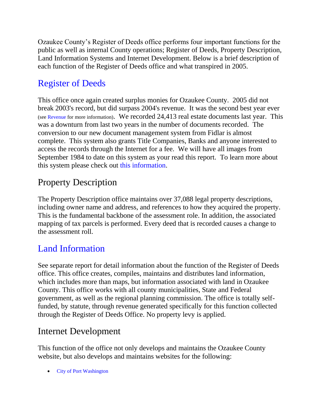Ozaukee County's Register of Deeds office performs four important functions for the public as well as internal County operations; Register of Deeds, Property Description, Land Information Systems and Internet Development. Below is a brief description of each function of the Register of Deeds office and what transpired in 2005.

## [Register of Deeds](http://www.co.ozaukee.wi.us/RegisterDeeds/Index.htm)

This office once again created surplus monies for Ozaukee County. 2005 did not break 2003's record, but did surpass 2004's revenue. It was the second best year ever (se[e Revenue](http://www.co.ozaukee.wi.us/RegisterDeeds/Revenue.htm) for more information). We recorded 24,413 real estate documents last year. This was a downturn from last two years in the number of documents recorded. The conversion to our new document management system from Fidlar is almost complete. This system also grants Title Companies, Banks and anyone interested to access the records through the Internet for a fee. We will have all images from September 1984 to date on this system as your read this report. To learn more about this system please check out [this information.](http://www.co.ozaukee.wi.us/RegisterDeeds/RealEstate/Index.htm)

## Property Description

The Property Description office maintains over 37,088 legal property descriptions, including owner name and address, and references to how they acquired the property. This is the fundamental backbone of the assessment role. In addition, the associated mapping of tax parcels is performed. Every deed that is recorded causes a change to the assessment roll.

## [Land Information](http://www.co.ozaukee.wi.us/landinfo/Index.htm)

See separate report for detail information about the function of the Register of Deeds office. This office creates, compiles, maintains and distributes land information, which includes more than maps, but information associated with land in Ozaukee County. This office works with all county municipalities, State and Federal government, as well as the regional planning commission. The office is totally selffunded, by statute, through revenue generated specifically for this function collected through the Register of Deeds Office. No property levy is applied.

## Internet Development

This function of the office not only develops and maintains the Ozaukee County website, but also develops and maintains websites for the following:

• City [of Port Washington](http://www.ci.port-washington.wi.us/)